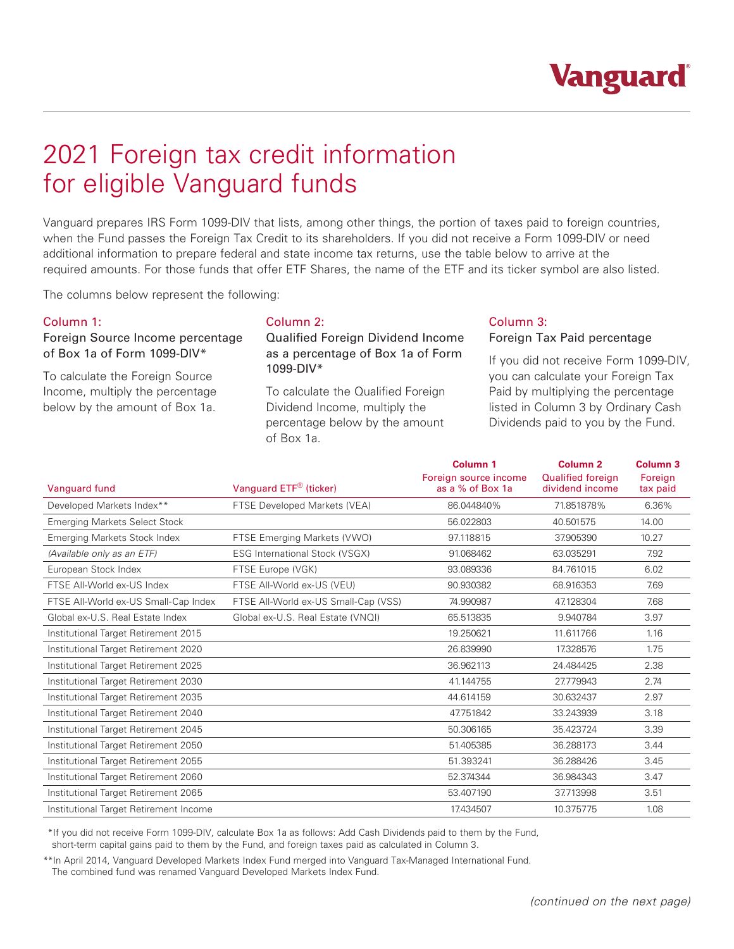# 2021 Foreign tax credit information for eligible Vanguard funds

Vanguard prepares IRS Form 1099-DIV that lists, among other things, the portion of taxes paid to foreign countries, when the Fund passes the Foreign Tax Credit to its shareholders. If you did not receive a Form 1099-DIV or need additional information to prepare federal and state income tax returns, use the table below to arrive at the required amounts. For those funds that offer ETF Shares, the name of the ETF and its ticker symbol are also listed.

The columns below represent the following:

# Column 1:

# Foreign Source Income percentage of Box 1a of Form 1099-DIV\*

To calculate the Foreign Source Income, multiply the percentage below by the amount of Box 1a.

### Column 2:

## Qualified Foreign Dividend Income as a percentage of Box 1a of Form 1099-DIV\*

To calculate the Qualified Foreign Dividend Income, multiply the percentage below by the amount of Box 1a.

# Column 3:

#### Foreign Tax Paid percentage

If you did not receive Form 1099-DIV, you can calculate your Foreign Tax Paid by multiplying the percentage listed in Column 3 by Ordinary Cash Dividends paid to you by the Fund.

| Vanguard fund                          | Vanguard ETF® (ticker)                | Column <sub>1</sub><br>Foreign source income<br>as a % of Box 1a | Column <sub>2</sub><br><b>Qualified foreign</b><br>dividend income | Column <sub>3</sub><br>Foreign<br>tax paid |
|----------------------------------------|---------------------------------------|------------------------------------------------------------------|--------------------------------------------------------------------|--------------------------------------------|
| Developed Markets Index**              | FTSE Developed Markets (VEA)          | 86.044840%                                                       | 71.851878%                                                         | 6.36%                                      |
| <b>Emerging Markets Select Stock</b>   |                                       | 56.022803                                                        | 40.501575                                                          | 14.00                                      |
| Emerging Markets Stock Index           | FTSE Emerging Markets (VWO)           | 97.118815                                                        | 37.905390                                                          | 10.27                                      |
| (Available only as an ETF)             | <b>ESG International Stock (VSGX)</b> | 91.068462                                                        | 63.035291                                                          | 7.92                                       |
| European Stock Index                   | FTSE Europe (VGK)                     | 93.089336                                                        | 84.761015                                                          | 6.02                                       |
| FTSE All-World ex-US Index             | FTSE All-World ex-US (VEU)            | 90.930382                                                        | 68.916353                                                          | 7.69                                       |
| FTSE All-World ex-US Small-Cap Index   | FTSE All-World ex-US Small-Cap (VSS)  | 74.990987                                                        | 47.128304                                                          | 7.68                                       |
| Global ex-U.S. Real Estate Index       | Global ex-U.S. Real Estate (VNQI)     | 65.513835                                                        | 9.940784                                                           | 3.97                                       |
| Institutional Target Retirement 2015   |                                       | 19.250621                                                        | 11.611766                                                          | 1.16                                       |
| Institutional Target Retirement 2020   |                                       | 26.839990                                                        | 17.328576                                                          | 1.75                                       |
| Institutional Target Retirement 2025   |                                       | 36.962113                                                        | 24.484425                                                          | 2.38                                       |
| Institutional Target Retirement 2030   |                                       | 41.144755                                                        | 27.779943                                                          | 2.74                                       |
| Institutional Target Retirement 2035   |                                       | 44.614159                                                        | 30.632437                                                          | 2.97                                       |
| Institutional Target Retirement 2040   |                                       | 47.751842                                                        | 33.243939                                                          | 3.18                                       |
| Institutional Target Retirement 2045   |                                       | 50.306165                                                        | 35.423724                                                          | 3.39                                       |
| Institutional Target Retirement 2050   |                                       | 51.405385                                                        | 36.288173                                                          | 3.44                                       |
| Institutional Target Retirement 2055   |                                       | 51.393241                                                        | 36.288426                                                          | 3.45                                       |
| Institutional Target Retirement 2060   |                                       | 52.374344                                                        | 36.984343                                                          | 3.47                                       |
| Institutional Target Retirement 2065   |                                       | 53.407190                                                        | 37.713998                                                          | 3.51                                       |
| Institutional Target Retirement Income |                                       | 17.434507                                                        | 10.375775                                                          | 1.08                                       |

\*\*If you did not receive Form 1099-DIV, calculate Box 1a as follows: Add Cash Dividends paid to them by the Fund, short-term capital gains paid to them by the Fund, and foreign taxes paid as calculated in Column 3.

\*\*In April 2014, Vanguard Developed Markets Index Fund merged into Vanguard Tax-Managed International Fund. The combined fund was renamed Vanguard Developed Markets Index Fund.